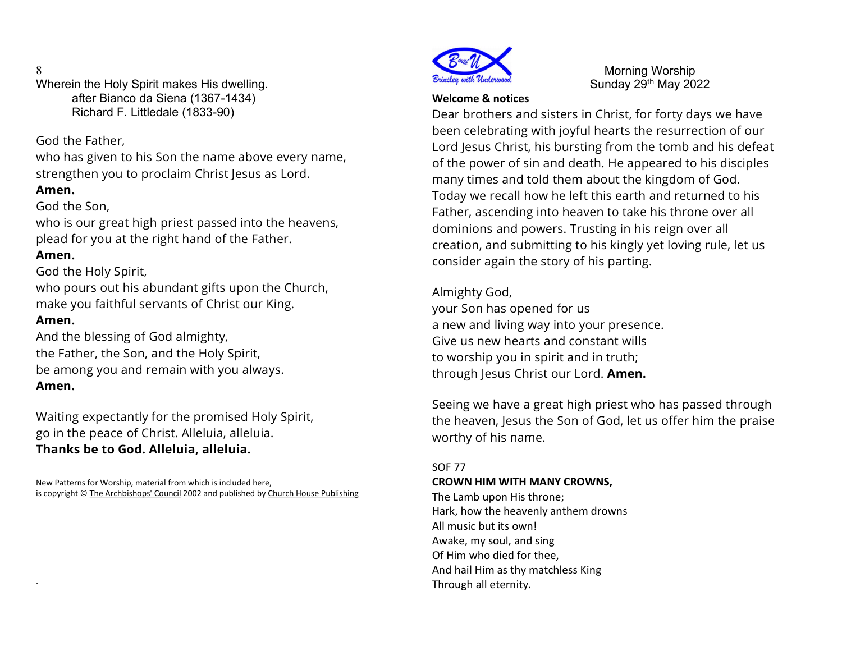## 8

Wherein the Holy Spirit makes His dwelling. after Bianco da Siena (1367-1434) Richard F. Littledale (1833-90)

God the Father,

who has given to his Son the name above every name, strengthen you to proclaim Christ Jesus as Lord.

## Amen.

## God the Son,

who is our great high priest passed into the heavens, plead for you at the right hand of the Father.

# Amen.

God the Holy Spirit,

who pours out his abundant gifts upon the Church, make you faithful servants of Christ our King.

## Amen.

.

And the blessing of God almighty, the Father, the Son, and the Holy Spirit, be among you and remain with you always. Amen.

Waiting expectantly for the promised Holy Spirit, go in the peace of Christ. Alleluia, alleluia. Thanks be to God. Alleluia, alleluia.

New Patterns for Worship, material from which is included here, is copyright © The Archbishops' Council 2002 and published by Church House Publishing



Morning Worship Sunday 29th May 2022

### Welcome & notices

Dear brothers and sisters in Christ, for forty days we have been celebrating with joyful hearts the resurrection of our Lord Jesus Christ, his bursting from the tomb and his defeat of the power of sin and death. He appeared to his disciples many times and told them about the kingdom of God. Today we recall how he left this earth and returned to his Father, ascending into heaven to take his throne over all dominions and powers. Trusting in his reign over all creation, and submitting to his kingly yet loving rule, let us consider again the story of his parting.

Almighty God, your Son has opened for us a new and living way into your presence. Give us new hearts and constant wills to worship you in spirit and in truth; through Jesus Christ our Lord. Amen.

Seeing we have a great high priest who has passed through the heaven, Jesus the Son of God, let us offer him the praise worthy of his name.

## SOF 77

### CROWN HIM WITH MANY CROWNS,

The Lamb upon His throne; Hark, how the heavenly anthem drowns All music but its own! Awake, my soul, and sing Of Him who died for thee, And hail Him as thy matchless King Through all eternity.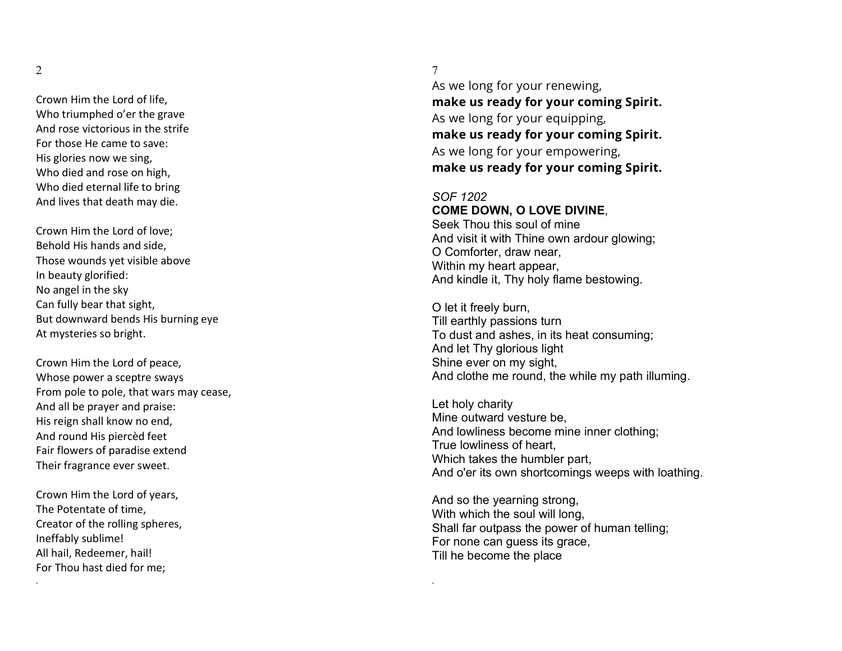Crown Him the Lord of life, Who triumphed o'er the grave And rose victorious in the strife For those He came to save: His glories now we sing, Who died and rose on high, Who died eternal life to bring And lives that death may die.

Crown Him the Lord of love; Behold His hands and side, Those wounds yet visible above In beauty glorified: No angel in the sky Can fully bear that sight, But downward bends His burning eye At mysteries so bright.

Crown Him the Lord of peace, Whose power a sceptre sways From pole to pole, that wars may cease, And all be prayer and praise: His reign shall know no end, And round His piercèd feet Fair flowers of paradise extend Their fragrance ever sweet.

Crown Him the Lord of years, The Potentate of time, Creator of the rolling spheres, Ineffably sublime! All hail, Redeemer, hail! For Thou hast died for me;

.

### 7

As we long for your renewing, make us ready for your coming Spirit. As we long for your equipping, make us ready for your coming Spirit. As we long for your empowering, make us ready for your coming Spirit.

#### SOF 1202

.

### COME DOWN, O LOVE DIVINE,

Seek Thou this soul of mine And visit it with Thine own ardour glowing; O Comforter, draw near, Within my heart appear, And kindle it, Thy holy flame bestowing.

O let it freely burn, Till earthly passions turn To dust and ashes, in its heat consuming; And let Thy glorious light Shine ever on my sight, And clothe me round, the while my path illuming.

Let holy charity Mine outward vesture be, And lowliness become mine inner clothing; True lowliness of heart, Which takes the humbler part, And o'er its own shortcomings weeps with loathing.

And so the yearning strong, With which the soul will long, Shall far outpass the power of human telling; For none can guess its grace, Till he become the place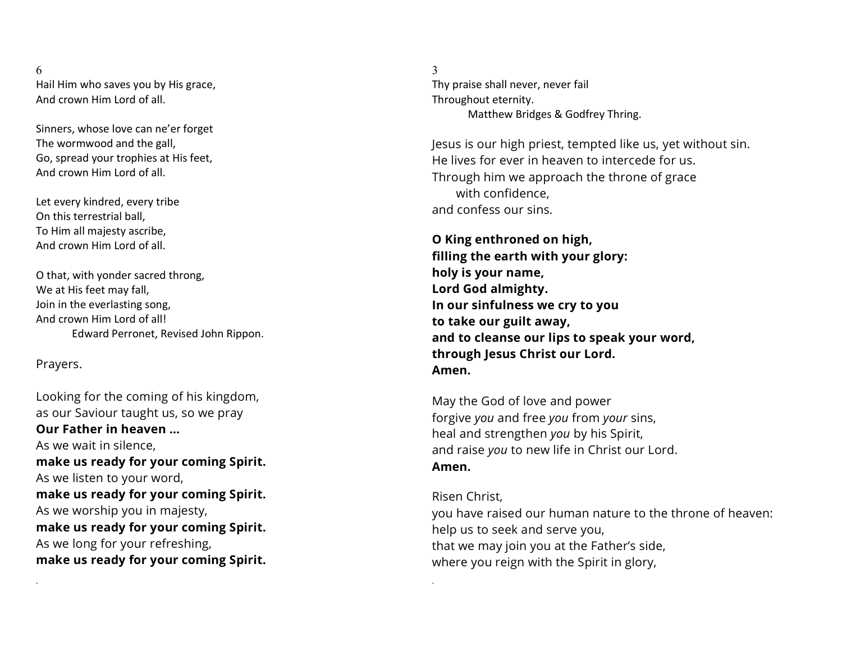### 6 Hail Him who saves you by His grace, And crown Him Lord of all.

Sinners, whose love can ne'er forget The wormwood and the gall, Go, spread your trophies at His feet, And crown Him Lord of all.

Let every kindred, every tribe On this terrestrial ball, To Him all majesty ascribe, And crown Him Lord of all.

O that, with yonder sacred throng, We at His feet may fall, Join in the everlasting song, And crown Him Lord of all! Edward Perronet, Revised John Rippon.

## Prayers.

.

Looking for the coming of his kingdom, as our Saviour taught us, so we pray Our Father in heaven … As we wait in silence, make us ready for your coming Spirit. As we listen to your word, make us ready for your coming Spirit. As we worship you in majesty, make us ready for your coming Spirit. As we long for your refreshing, make us ready for your coming Spirit.

3 Thy praise shall never, never fail Throughout eternity. Matthew Bridges & Godfrey Thring.

Jesus is our high priest, tempted like us, yet without sin. He lives for ever in heaven to intercede for us. Through him we approach the throne of grace with confidence, and confess our sins.

O King enthroned on high, filling the earth with your glory: holy is your name, Lord God almighty. In our sinfulness we cry to you to take our guilt away, and to cleanse our lips to speak your word, through Jesus Christ our Lord. Amen.

May the God of love and power forgive you and free you from your sins, heal and strengthen you by his Spirit, and raise you to new life in Christ our Lord. Amen.

.

Risen Christ, you have raised our human nature to the throne of heaven: help us to seek and serve you, that we may join you at the Father's side, where you reign with the Spirit in glory,